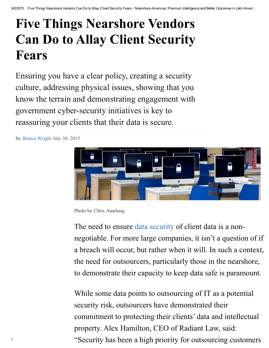# Five Things Nearshore Vendors Can Do to Allay Client Security Fears

Ensuring you have a clear policy, creating a security culture, addressing physical issues, showing that you know the terrain and demonstrating engagement with government cyber-security initiatives is key to reassuring your clients that their data is secure.

By Bianca [Wright](http://www.nearshoreamericas.com/author/bianca/) July 30, 2015



Photo by Chris Amelung

The need to ensure data [security](http://www.nearshoreamericas.com/data-security-concerns-fuel-biometric-technology-market-latin-america/) of client data is a nonnegotiable. For more large companies, it isn't a question of if a breach will occur, but rather when it will. In such a context, the need for outsourcers, particularly those in the nearshore, to demonstrate their capacity to keep data safe is paramount.

 $\ddot{\text{c}}$   $\text{c}$   $\text{c}$   $\text{c}$   $\text{c}$   $\text{c}$   $\text{c}$   $\text{c}$   $\text{c}$   $\text{c}$   $\text{c}$   $\text{c}$   $\text{c}$   $\text{c}$   $\text{c}$   $\text{c}$   $\text{c}$   $\text{c}$   $\text{c}$   $\text{c}$   $\text{c}$   $\text{c}$   $\text{c}$   $\text{c}$   $\text{c}$   $\text{c}$   $\text{c}$   $\$ While some data points to outsourcing of IT as a potential security risk, outsourcers have demonstrated their commitment to protecting their clients' data and intellectual property. Alex Hamilton, CEO of Radiant Law, said: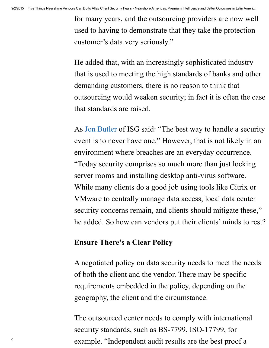for many years, and the outsourcing providers are now well used to having to demonstrate that they take the protection customer's data very seriously."

He added that, with an increasingly sophisticated industry that is used to meeting the high standards of banks and other demanding customers, there is no reason to think that outsourcing would weaken security; in fact it is often the case that standards are raised.

As Jon [Butler](http://www.nearshoreamericas.com/bpoito-provider-losing-qualified-staff/) of ISG said: "The best way to handle a security event is to never have one." However, that is not likely in an environment where breaches are an everyday occurrence. "Today security comprises so much more than just locking server rooms and installing desktop anti-virus software. While many clients do a good job using tools like Citrix or VMware to centrally manage data access, local data center security concerns remain, and clients should mitigate these," he added. So how can vendors put their clients' minds to rest?

# Ensure There's a Clear Policy

A negotiated policy on data security needs to meet the needs of both the client and the vendor. There may be specific requirements embedded in the policy, depending on the geography, the client and the circumstance.

example. "Independent audit results are the best proof a  $\epsilon$ The outsourced center needs to comply with international security standards, such as BS-7799, ISO-17799, for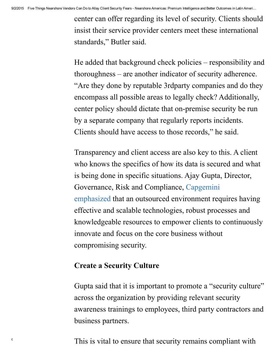center can offer regarding its level of security. Clients should insist their service provider centers meet these international standards, " Butler said.

He added that background check policies – responsibility and thoroughness – are another indicator of security adherence. "Are they done by reputable 3rdparty companies and do they encompass all possible areas to legally check? Additionally, center policy should dictate that on-premise security be run by a separate company that regularly reports incidents. Clients should have access to those records, " he said.

Transparency and client access are also key to this. A client who knows the specifics of how its data is secured and what is being done in specific situations. Ajay Gupta, Director, Governance, Risk and [Compliance,](http://www.nearshoreamericas.com/capgemini-reportedly-talks-purchase-igate-2/) Capgemini emphasized that an outsourced environment requires having effective and scalable technologies, robust processes and knowledgeable resources to empower clients to continuously innovate and focus on the core business without compromising security.

# Create a Security Culture

Gupta said that it is important to promote a "security culture" across the organization by providing relevant security awareness trainings to employees, third party contractors and business partners.

 $\ddot{\text{c}}$  and  $\ddot{\text{c}}$  and  $\ddot{\text{d}}$  is vital to ensure that security remains compliant with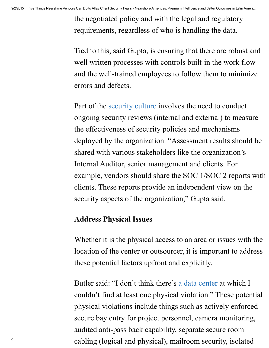the negotiated policy and with the legal and regulatory requirements, regardless of who is handling the data.

Tied to this, said Gupta, is ensuring that there are robust and well written processes with controls built-in the work flow and the well-trained employees to follow them to minimize errors and defects.

Part of the [security](http://www.nearshoreamericas.com/bahamas-review-internet-infrastructure-hackers-deface-government-sites/) culture involves the need to conduct ongoing security reviews (internal and external) to measure the effectiveness of security policies and mechanisms deployed by the organization. "Assessment results should be shared with various stakeholders like the organization's Internal Auditor, senior management and clients. For example, vendors should share the SOC 1/SOC 2 reports with clients. These reports provide an independent view on the security aspects of the organization," Gupta said.

# Address Physical Issues

Whether it is the physical access to an area or issues with the location of the center or outsourcer, it is important to address these potential factors upfront and explicitly.

 $\epsilon$  cabling (logical and physical), mailroom security, isolated Butler said: "I don't think there's a data [center](http://www.nearshoreamericas.com/caribbean-ixp-build-data-center-hosting-facility-trinidad-tobago/) at which I couldn't find at least one physical violation." These potential physical violations include things such as actively enforced secure bay entry for project personnel, camera monitoring, audited anti-pass back capability, separate secure room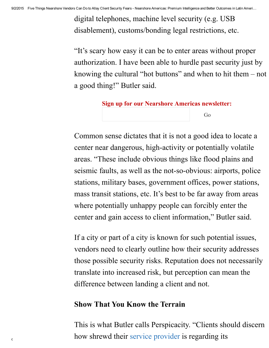digital telephones, machine level security (e.g. USB disablement), customs/bonding legal restrictions, etc.

"It's scary how easy it can be to enter areas without proper authorization. I have been able to hurdle past security just by knowing the cultural "hot buttons" and when to hit them – not a good thing!" Butler said.

#### Sign up for our Nearshore Americas newsletter:

Go

Common sense dictates that it is not a good idea to locate a center near dangerous, high-activity or potentially volatile areas. "These include obvious things like flood plains and seismic faults, as well as the not-so-obvious: airports, police stations, military bases, government offices, power stations, mass transit stations, etc. It's best to be far away from areas where potentially unhappy people can forcibly enter the center and gain access to client information, " Butler said.

If a city or part of a city is known for such potential issues, vendors need to clearly outline how their security addresses those possible security risks. Reputation does not necessarily translate into increased risk, but perception can mean the difference between landing a client and not.

### Show That You Know the Terrain

 $\alpha$  how shrewd their service [provider](http://www.nearshoreamericas.com/indian-companies-scramble-saas-cloud-technology/) is regarding its This is what Butler calls Perspicacity. "Clients should discern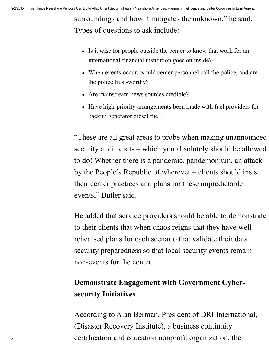surroundings and how it mitigates the unknown, " he said. Types of questions to ask include:

- Is it wise for people outside the center to know that work for an international financial institution goes on inside?
- When events occur, would center personnel call the police, and are the police trust-worthy?
- Are mainstream news sources credible?
- Have high-priority arrangements been made with fuel providers for backup generator diesel fuel?

"These are all great areas to probe when making unannounced security audit visits – which you absolutely should be allowed to do! Whether there is a pandemic, pandemonium, an attack by the People's Republic of wherever – clients should insist their center practices and plans for these unpredictable events, " Butler said.

He added that service providers should be able to demonstrate to their clients that when chaos reigns that they have wellrehearsed plans for each scenario that validate their data security preparedness so that local security events remain nonevents for the center.

# Demonstrate Engagement with Government Cybersecurity Initiatives

 $\epsilon$  certification and education nonprofit organization, the According to Alan Berman, President of DRI International, (Disaster Recovery Institute), a business continuity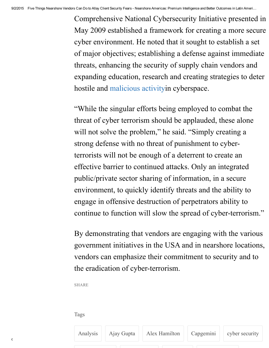Comprehensive National Cybersecurity Initiative presented in May 2009 established a framework for creating a more secure cyber environment. He noted that it sought to establish a set of major objectives; establishing a defense against immediate threats, enhancing the security of supply chain vendors and expanding education, research and creating strategies to deter hostile and [malicious](http://www.nearshoreamericas.com/bahamas-review-internet-infrastructure-hackers-deface-government-sites/) activityin cyberspace.

"While the singular efforts being employed to combat the threat of cyber terrorism should be applauded, these alone will not solve the problem," he said. "Simply creating a strong defense with no threat of punishment to cyberterrorists will not be enough of a deterrent to create an effective barrier to continued attacks. Only an integrated public/private sector sharing of information, in a secure environment, to quickly identify threats and the ability to engage in offensive destruction of perpetrators ability to continue to function will slow the spread of cyber-terrorism."

By demonstrating that vendors are engaging with the various government initiatives in the USA and in nearshore locations, vendors can emphasize their commitment to security and to the eradication of cyber-terrorism.

SHARE

Tags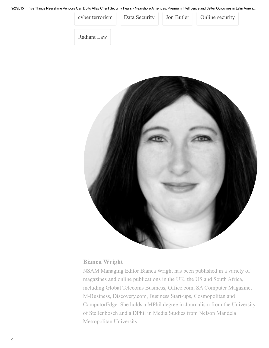9/2/2015 Five Things Nearshore Vendors Can Do to Allay Client Security Fears - Nearshore Americas: Premium Intelligence and Better Outcomes in Latin Ameri...



[Radiant](http://www.nearshoreamericas.com/tag/radiant-law/) Law



#### Bianca [Wright](http://www.nearshoreamericas.com/author/bianca/)

NSAM Managing Editor Bianca Wright has been published in a variety of magazines and online publications in the UK, the US and South Africa, including Global Telecoms Business, Office.com, SA Computer Magazine, M-Business, Discovery.com, Business Start-ups, Cosmopolitan and ComputorEdge. She holds a MPhil degree in Journalism from the University of Stellenbosch and a DPhil in Media Studies from Nelson Mandela Metropolitan University.